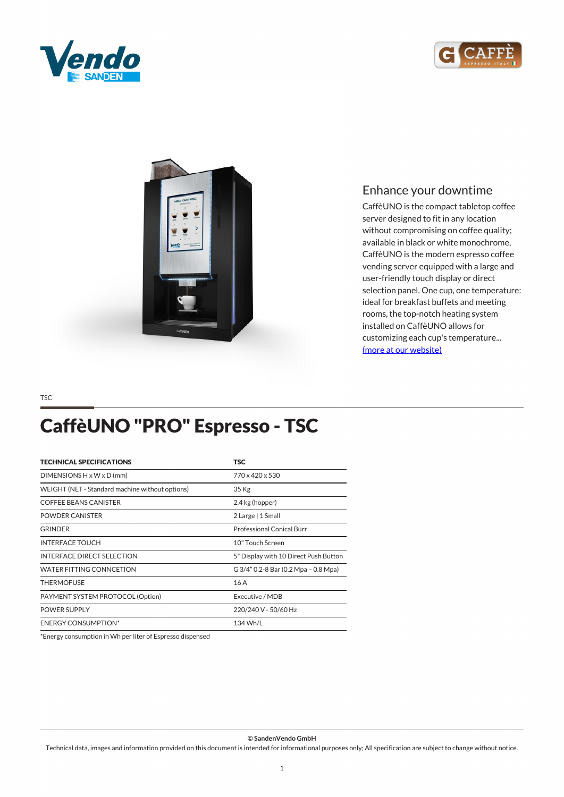





## *Enhance your downtime*

*CaffèUNO is the compact tabletop coffee server designed to fit in any location without compromising on coffee quality; available in black or white monochrome, CaffèUNO is the modern espresso coffee vending server equipped with a large and user-friendly touch display or direct selection panel. One cup, one temperature: ideal for breakfast buffets and meeting rooms, the top-notch heating system installed on CaffèUNO allows for customizing each cup's temperature... [\(more at our website\)](https://www.sandenvendo.it/en/g-caffe/caffeuno-1022.html)*

*TSC*

# *CaffèUNO "PRO" Espresso - TSC*

| <b>TECHNICAL SPECIFICATIONS</b>                 | <b>TSC</b>                            |
|-------------------------------------------------|---------------------------------------|
| DIMENSIONS $H \times W \times D$ (mm)           | 770 x 420 x 530                       |
| WEIGHT (NET - Standard machine without options) | 35 Kg                                 |
| <b>COFFEE BEANS CANISTER</b>                    | 2.4 kg (hopper)                       |
| POWDER CANISTER                                 | 2 Large   1 Small                     |
| <b>GRINDER</b>                                  | Professional Conical Burr             |
| <b>INTERFACE TOUCH</b>                          | 10" Touch Screen                      |
| <b>INTERFACE DIRECT SELECTION</b>               | 5" Display with 10 Direct Push Button |
| <b>WATER FITTING CONNCETION</b>                 | G 3/4" 0.2-8 Bar (0.2 Mpa - 0.8 Mpa)  |
| <b>THERMOFUSE</b>                               | 16A                                   |
| PAYMENT SYSTEM PROTOCOL (Option)                | Executive / MDB                       |
| POWER SUPPLY                                    | 220/240 V - 50/60 Hz                  |
| <b>ENERGY CONSUMPTION*</b>                      | 134 Wh/L                              |

*\*Energy consumption in Wh per liter of Espresso dispensed*

### *© SandenVendo GmbH*

*Technical data, images and information provided on this document is intended for informational purposes only; All specification are subject to change without notice.*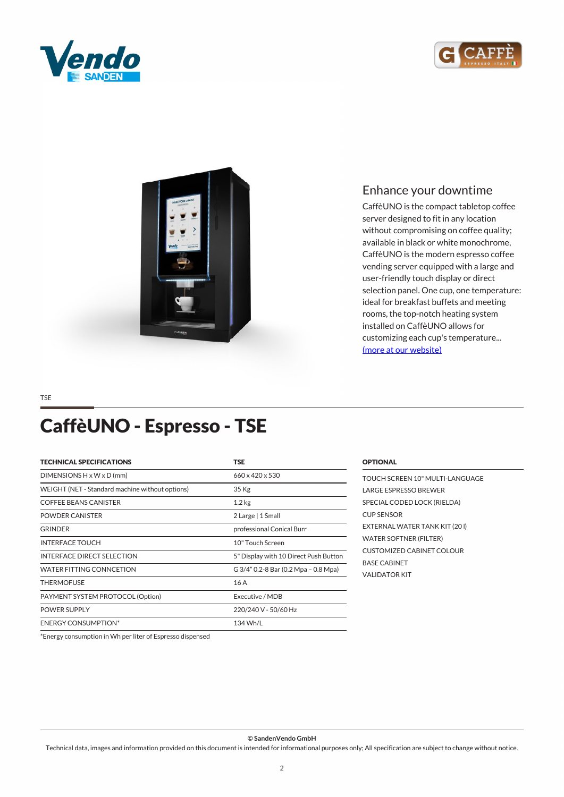





## *Enhance your downtime*

*CaffèUNO is the compact tabletop coffee server designed to fit in any location without compromising on coffee quality; available in black or white monochrome, CaffèUNO is the modern espresso coffee vending server equipped with a large and user-friendly touch display or direct selection panel. One cup, one temperature: ideal for breakfast buffets and meeting rooms, the top-notch heating system installed on CaffèUNO allows for customizing each cup's temperature... [\(more at our website\)](https://www.sandenvendo.it/en/g-caffe/caffeuno-1022.html)*

### *TSE*

## *CaffèUNO - Espresso - TSE*

| <b>TECHNICAL SPECIFICATIONS</b>                 | <b>TSE</b>                            |
|-------------------------------------------------|---------------------------------------|
| DIMENSIONS $H \times W \times D$ (mm)           | $660 \times 420 \times 530$           |
| WEIGHT (NET - Standard machine without options) | $35$ Kg                               |
| <b>COFFEE BEANS CANISTER</b>                    | 1.2 <sub>kg</sub>                     |
| POWDER CANISTER                                 | 2 Large   1 Small                     |
| <b>GRINDER</b>                                  | professional Conical Burr             |
| <b>INTERFACE TOUCH</b>                          | 10" Touch Screen                      |
| <b>INTERFACE DIRECT SELECTION</b>               | 5" Display with 10 Direct Push Button |
| WATER FITTING CONNCETION                        | G 3/4" 0.2-8 Bar (0.2 Mpa - 0.8 Mpa)  |
| <b>THERMOFUSE</b>                               | 16A                                   |
| PAYMENT SYSTEM PROTOCOL (Option)                | Executive / MDB                       |
| <b>POWER SUPPLY</b>                             | 220/240 V - 50/60 Hz                  |
| <b>ENERGY CONSUMPTION*</b>                      | 134 Wh/L                              |

### *OPTIONAL*

*TOUCH SCREEN 10" MULTI-LANGUAGE LARGE ESPRESSO BREWER SPECIAL CODED LOCK (RIELDA) CUP SENSOR EXTERNAL WATER TANK KIT (20 l) WATER SOFTNER (FILTER) CUSTOMIZED CABINET COLOUR BASE CABINET VALIDATOR KIT* 

*\*Energy consumption in Wh per liter of Espresso dispensed*

#### *© SandenVendo GmbH*

*Technical data, images and information provided on this document is intended for informational purposes only; All specification are subject to change without notice.*